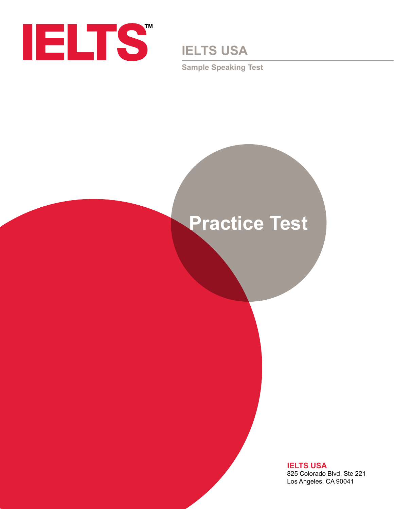

**IELTS USA**

**Sample Speaking Test**

# **Practice Test**

**IELTS USA** 825 Colorado Blvd, Ste 221 Los Angeles, CA 90041